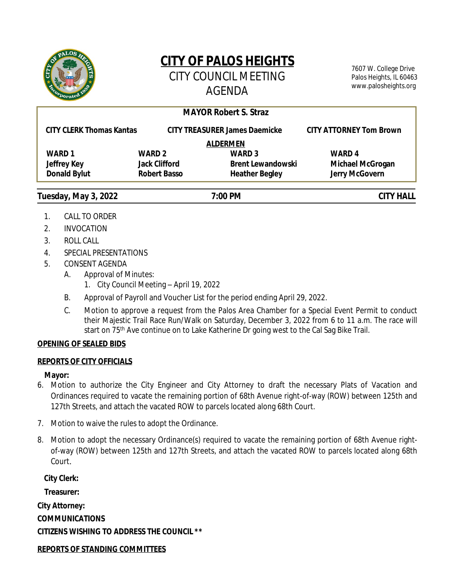

# **CITY OF PALOS HEIGHTS** CITY COUNCIL MEETING

7607 W. College Drive Palos Heights, IL 60463 www.palosheights.org

|                                 |                      | <b>MAYOR Robert S. Straz</b>         |                                |
|---------------------------------|----------------------|--------------------------------------|--------------------------------|
| <b>CITY CLERK Thomas Kantas</b> |                      | <b>CITY TREASURER James Daemicke</b> | <b>CITY ATTORNEY Tom Brown</b> |
|                                 |                      | <b>ALDERMEN</b>                      |                                |
| <b>WARD 1</b>                   | WARD 2               | WARD 3                               | <b>WARD 4</b>                  |
| <b>Jeffrey Key</b>              | <b>Jack Clifford</b> | <b>Brent Lewandowski</b>             | <b>Michael McGrogan</b>        |
| <b>Donald Bylut</b>             | <b>Robert Basso</b>  | <b>Heather Begley</b>                | <b>Jerry McGovern</b>          |
|                                 |                      |                                      |                                |
| Tuesday, May 3, 2022            |                      | 7:00 PM                              | <b>CITY HALL</b>               |

- 1. CALL TO ORDER
- 2. INVOCATION
- 3. ROLL CALL
- 4. SPECIAL PRESENTATIONS
- 5. CONSENT AGENDA
	- A. Approval of Minutes:
		- 1. City Council Meeting April 19, 2022
	- B. Approval of Payroll and Voucher List for the period ending April 29, 2022.
	- C. Motion to approve a request from the Palos Area Chamber for a Special Event Permit to conduct their Majestic Trail Race Run/Walk on Saturday, December 3, 2022 from 6 to 11 a.m. The race will start on 75<sup>th</sup> Ave continue on to Lake Katherine Dr going west to the Cal Sag Bike Trail.

# **OPENING OF SEALED BIDS**

# **REPORTS OF CITY OFFICIALS**

# **Mayor:**

- 6. Motion to authorize the City Engineer and City Attorney to draft the necessary Plats of Vacation and Ordinances required to vacate the remaining portion of 68th Avenue right-of-way (ROW) between 125th and 127th Streets, and attach the vacated ROW to parcels located along 68th Court.
- 7. Motion to waive the rules to adopt the Ordinance.
- 8. Motion to adopt the necessary Ordinance(s) required to vacate the remaining portion of 68th Avenue rightof-way (ROW) between 125th and 127th Streets, and attach the vacated ROW to parcels located along 68th Court.

**City Clerk:**

**Treasurer:**

**City Attorney: COMMUNICATIONS CITIZENS WISHING TO ADDRESS THE COUNCIL \*\***

**REPORTS OF STANDING COMMITTEES**